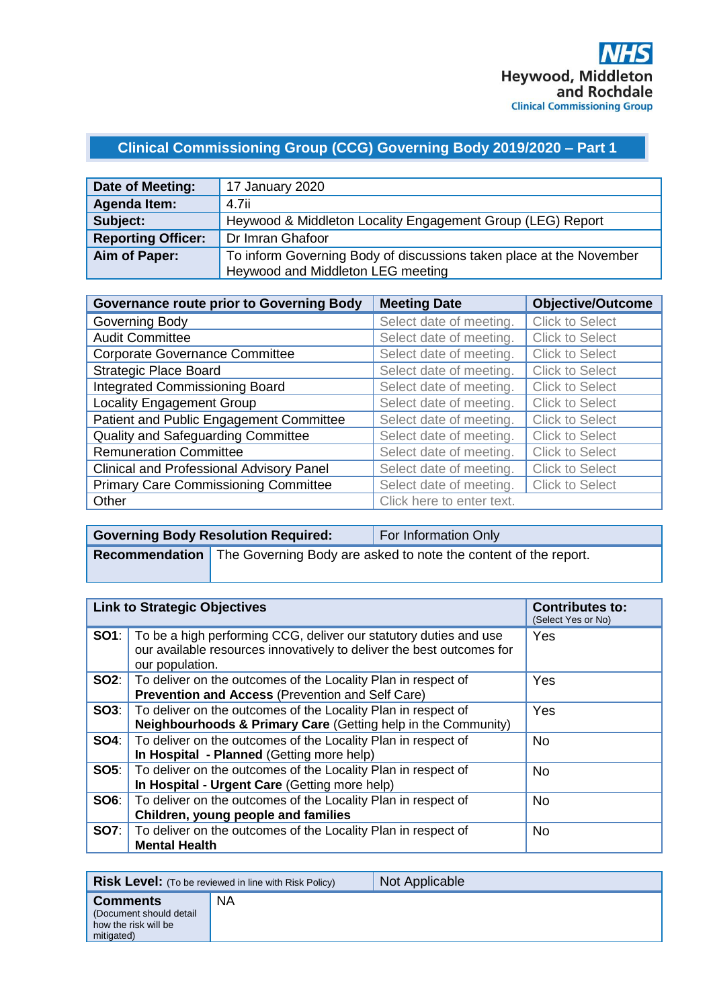# **Clinical Commissioning Group (CCG) Governing Body 2019/2020 – Part 1**

| Date of Meeting:          | 17 January 2020                                                     |
|---------------------------|---------------------------------------------------------------------|
| Agenda Item:              | 4.7ii                                                               |
| Subject:                  | Heywood & Middleton Locality Engagement Group (LEG) Report          |
| <b>Reporting Officer:</b> | Dr Imran Ghafoor                                                    |
| Aim of Paper:             | To inform Governing Body of discussions taken place at the November |
|                           | Heywood and Middleton LEG meeting                                   |

| <b>Governance route prior to Governing Body</b> | <b>Meeting Date</b>       | <b>Objective/Outcome</b> |
|-------------------------------------------------|---------------------------|--------------------------|
| Governing Body                                  | Select date of meeting.   | <b>Click to Select</b>   |
| <b>Audit Committee</b>                          | Select date of meeting.   | <b>Click to Select</b>   |
| <b>Corporate Governance Committee</b>           | Select date of meeting.   | <b>Click to Select</b>   |
| <b>Strategic Place Board</b>                    | Select date of meeting.   | <b>Click to Select</b>   |
| <b>Integrated Commissioning Board</b>           | Select date of meeting.   | <b>Click to Select</b>   |
| <b>Locality Engagement Group</b>                | Select date of meeting.   | <b>Click to Select</b>   |
| Patient and Public Engagement Committee         | Select date of meeting.   | <b>Click to Select</b>   |
| Quality and Safeguarding Committee              | Select date of meeting.   | <b>Click to Select</b>   |
| <b>Remuneration Committee</b>                   | Select date of meeting.   | <b>Click to Select</b>   |
| <b>Clinical and Professional Advisory Panel</b> | Select date of meeting.   | <b>Click to Select</b>   |
| <b>Primary Care Commissioning Committee</b>     | Select date of meeting.   | <b>Click to Select</b>   |
| Other                                           | Click here to enter text. |                          |

| <b>Governing Body Resolution Required:</b> | For Information Only                                                             |
|--------------------------------------------|----------------------------------------------------------------------------------|
|                                            | Recommendation   The Governing Body are asked to note the content of the report. |

| <b>Link to Strategic Objectives</b> |                                                                                                                                                               | <b>Contributes to:</b><br>(Select Yes or No) |
|-------------------------------------|---------------------------------------------------------------------------------------------------------------------------------------------------------------|----------------------------------------------|
| SO1:                                | To be a high performing CCG, deliver our statutory duties and use<br>our available resources innovatively to deliver the best outcomes for<br>our population. | Yes                                          |
| SO2:                                | To deliver on the outcomes of the Locality Plan in respect of<br><b>Prevention and Access (Prevention and Self Care)</b>                                      | Yes                                          |
| SO3:                                | To deliver on the outcomes of the Locality Plan in respect of<br>Neighbourhoods & Primary Care (Getting help in the Community)                                | Yes                                          |
| SO4:                                | To deliver on the outcomes of the Locality Plan in respect of<br>In Hospital - Planned (Getting more help)                                                    | <b>No</b>                                    |
| SO5:                                | To deliver on the outcomes of the Locality Plan in respect of<br>In Hospital - Urgent Care (Getting more help)                                                | <b>No</b>                                    |
| SO6:                                | To deliver on the outcomes of the Locality Plan in respect of<br>Children, young people and families                                                          | <b>No</b>                                    |
| <b>SO7:</b>                         | To deliver on the outcomes of the Locality Plan in respect of<br><b>Mental Health</b>                                                                         | <b>No</b>                                    |

|                                                                                  | <b>Risk Level:</b> (To be reviewed in line with Risk Policy) | Not Applicable |
|----------------------------------------------------------------------------------|--------------------------------------------------------------|----------------|
| <b>Comments</b><br>(Document should detail<br>how the risk will be<br>mitigated) | <b>NA</b>                                                    |                |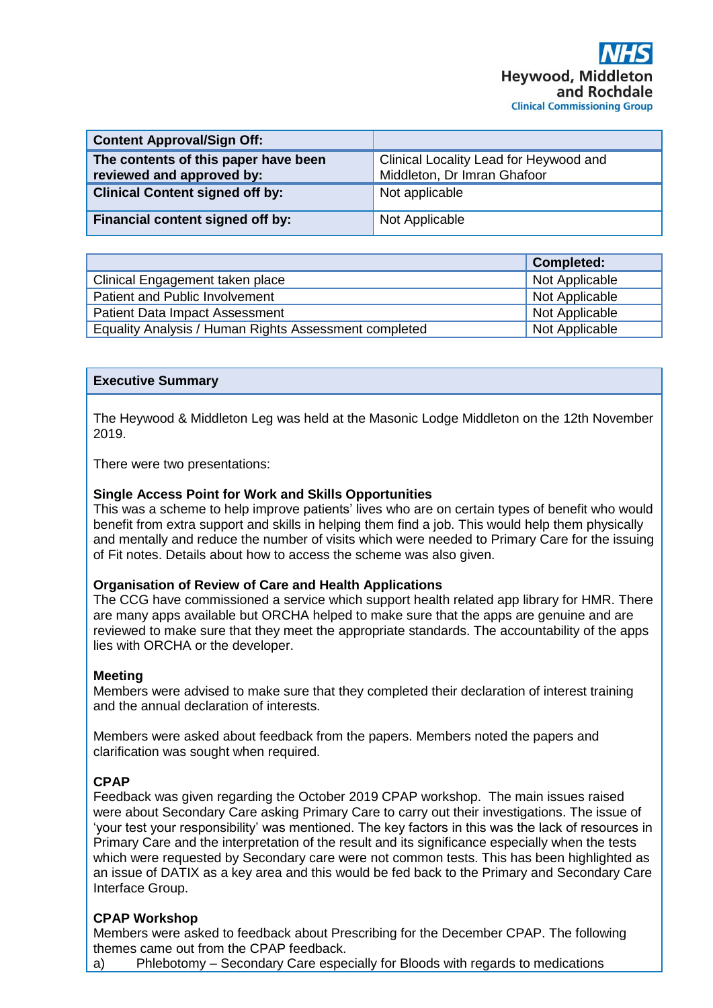| <b>Content Approval/Sign Off:</b>                                 |                                                                       |
|-------------------------------------------------------------------|-----------------------------------------------------------------------|
| The contents of this paper have been<br>reviewed and approved by: | Clinical Locality Lead for Heywood and<br>Middleton, Dr Imran Ghafoor |
| <b>Clinical Content signed off by:</b>                            | Not applicable                                                        |
| <b>Financial content signed off by:</b>                           | Not Applicable                                                        |

|                                                       | <b>Completed:</b> |
|-------------------------------------------------------|-------------------|
| Clinical Engagement taken place                       | Not Applicable    |
| Patient and Public Involvement                        | Not Applicable    |
| <b>Patient Data Impact Assessment</b>                 | Not Applicable    |
| Equality Analysis / Human Rights Assessment completed | Not Applicable    |

### **Executive Summary**

The Heywood & Middleton Leg was held at the Masonic Lodge Middleton on the 12th November 2019.

There were two presentations:

#### **Single Access Point for Work and Skills Opportunities**

This was a scheme to help improve patients' lives who are on certain types of benefit who would benefit from extra support and skills in helping them find a job. This would help them physically and mentally and reduce the number of visits which were needed to Primary Care for the issuing of Fit notes. Details about how to access the scheme was also given.

#### **Organisation of Review of Care and Health Applications**

The CCG have commissioned a service which support health related app library for HMR. There are many apps available but ORCHA helped to make sure that the apps are genuine and are reviewed to make sure that they meet the appropriate standards. The accountability of the apps lies with ORCHA or the developer.

#### **Meeting**

Members were advised to make sure that they completed their declaration of interest training and the annual declaration of interests.

Members were asked about feedback from the papers. Members noted the papers and clarification was sought when required.

#### **CPAP**

Feedback was given regarding the October 2019 CPAP workshop. The main issues raised were about Secondary Care asking Primary Care to carry out their investigations. The issue of 'your test your responsibility' was mentioned. The key factors in this was the lack of resources in Primary Care and the interpretation of the result and its significance especially when the tests which were requested by Secondary care were not common tests. This has been highlighted as an issue of DATIX as a key area and this would be fed back to the Primary and Secondary Care Interface Group.

## **CPAP Workshop**

Members were asked to feedback about Prescribing for the December CPAP. The following themes came out from the CPAP feedback.

a) Phlebotomy – Secondary Care especially for Bloods with regards to medications